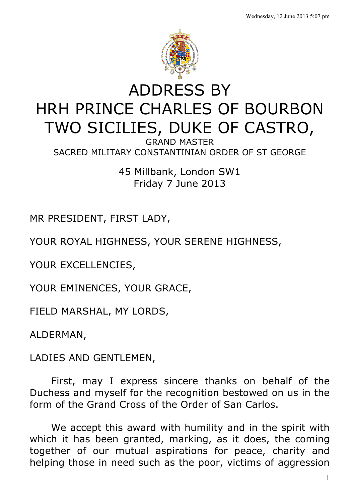

## ADDRESS BY HRH PRINCE CHARLES OF BOURBON TWO SICILIES, DUKE OF CASTRO,

GRAND MASTER SACRED MILITARY CONSTANTINIAN ORDER OF ST GEORGE

> 45 Millbank, London SW1 Friday 7 June 2013

MR PRESIDENT, FIRST LADY,

YOUR ROYAL HIGHNESS, YOUR SERENE HIGHNESS,

YOUR EXCELLENCIES,

YOUR EMINENCES, YOUR GRACE,

FIELD MARSHAL, MY LORDS,

ALDERMAN,

LADIES AND GENTLEMEN,

First, may I express sincere thanks on behalf of the Duchess and myself for the recognition bestowed on us in the form of the Grand Cross of the Order of San Carlos.

We accept this award with humility and in the spirit with which it has been granted, marking, as it does, the coming together of our mutual aspirations for peace, charity and helping those in need such as the poor, victims of aggression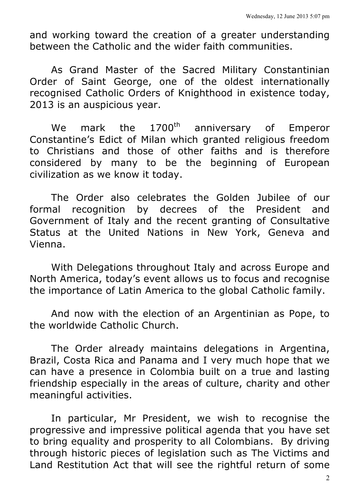and working toward the creation of a greater understanding between the Catholic and the wider faith communities.

As Grand Master of the Sacred Military Constantinian Order of Saint George, one of the oldest internationally recognised Catholic Orders of Knighthood in existence today, 2013 is an auspicious year.

We mark the 1700<sup>th</sup> anniversary of Emperor Constantine's Edict of Milan which granted religious freedom to Christians and those of other faiths and is therefore considered by many to be the beginning of European civilization as we know it today.

The Order also celebrates the Golden Jubilee of our formal recognition by decrees of the President and Government of Italy and the recent granting of Consultative Status at the United Nations in New York, Geneva and Vienna.

With Delegations throughout Italy and across Europe and North America, today's event allows us to focus and recognise the importance of Latin America to the global Catholic family.

And now with the election of an Argentinian as Pope, to the worldwide Catholic Church.

The Order already maintains delegations in Argentina, Brazil, Costa Rica and Panama and I very much hope that we can have a presence in Colombia built on a true and lasting friendship especially in the areas of culture, charity and other meaningful activities.

In particular, Mr President, we wish to recognise the progressive and impressive political agenda that you have set to bring equality and prosperity to all Colombians. By driving through historic pieces of legislation such as The Victims and Land Restitution Act that will see the rightful return of some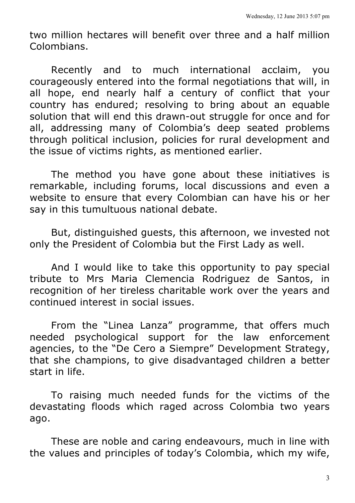two million hectares will benefit over three and a half million Colombians.

Recently and to much international acclaim, you courageously entered into the formal negotiations that will, in all hope, end nearly half a century of conflict that your country has endured; resolving to bring about an equable solution that will end this drawn-out struggle for once and for all, addressing many of Colombia's deep seated problems through political inclusion, policies for rural development and the issue of victims rights, as mentioned earlier.

The method you have gone about these initiatives is remarkable, including forums, local discussions and even a website to ensure that every Colombian can have his or her say in this tumultuous national debate.

But, distinguished guests, this afternoon, we invested not only the President of Colombia but the First Lady as well.

And I would like to take this opportunity to pay special tribute to Mrs Maria Clemencia Rodriguez de Santos, in recognition of her tireless charitable work over the years and continued interest in social issues.

From the "Linea Lanza" programme, that offers much needed psychological support for the law enforcement agencies, to the "De Cero a Siempre" Development Strategy, that she champions, to give disadvantaged children a better start in life.

To raising much needed funds for the victims of the devastating floods which raged across Colombia two years ago.

These are noble and caring endeavours, much in line with the values and principles of today's Colombia, which my wife,